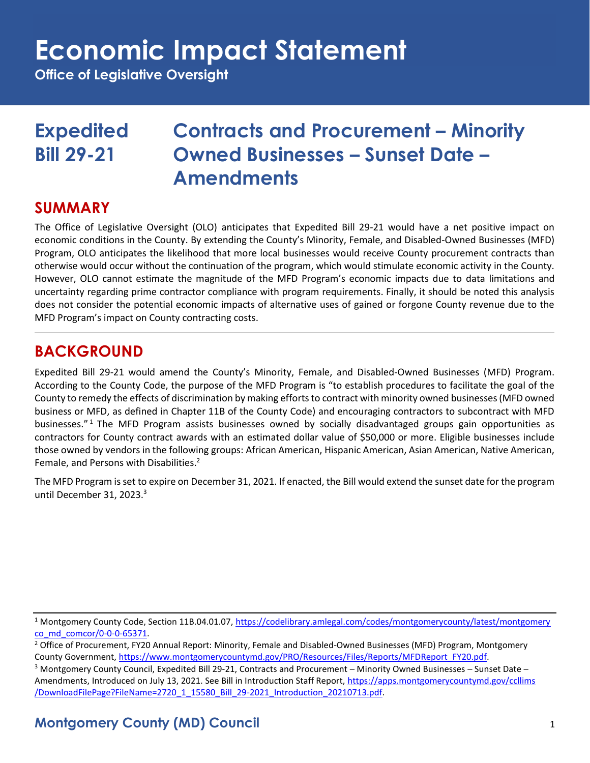# **Economic Impact Statement**

**Office of Legislative Oversight**

# **Expedited Contracts and Procurement – Minority Bill 29-21 Owned Businesses – Sunset Date – Amendments**

### **SUMMARY**

The Office of Legislative Oversight (OLO) anticipates that Expedited Bill 29-21 would have a net positive impact on economic conditions in the County. By extending the County's Minority, Female, and Disabled-Owned Businesses (MFD) Program, OLO anticipates the likelihood that more local businesses would receive County procurement contracts than otherwise would occur without the continuation of the program, which would stimulate economic activity in the County. However, OLO cannot estimate the magnitude of the MFD Program's economic impacts due to data limitations and uncertainty regarding prime contractor compliance with program requirements. Finally, it should be noted this analysis does not consider the potential economic impacts of alternative uses of gained or forgone County revenue due to the MFD Program's impact on County contracting costs.

# **BACKGROUND**

Expedited Bill 29-21 would amend the County's Minority, Female, and Disabled-Owned Businesses (MFD) Program. According to the County Code, the purpose of the MFD Program is "to establish procedures to facilitate the goal of the County to remedy the effects of discrimination by making efforts to contract with minority owned businesses (MFD owned business or MFD, as defined in Chapter 11B of the County Code) and encouraging contractors to subcontract with MFD businesses." <sup>1</sup> The MFD Program assists businesses owned by socially disadvantaged groups gain opportunities as contractors for County contract awards with an estimated dollar value of \$50,000 or more. Eligible businesses include those owned by vendors in the following groups: African American, Hispanic American, Asian American, Native American, Female, and Persons with Disabilities.<sup>2</sup>

The MFD Program is set to expire on December 31, 2021. If enacted, the Bill would extend the sunset date for the program until December 31, 2023.<sup>3</sup>

<sup>1</sup> Montgomery County Code, Section 11B.04.01.07[, https://codelibrary.amlegal.com/codes/montgomerycounty/latest/montgomery](https://codelibrary.amlegal.com/codes/montgomerycounty/latest/montgomeryco_md_comcor/0-0-0-65371) [co\\_md\\_comcor/0-0-0-65371.](https://codelibrary.amlegal.com/codes/montgomerycounty/latest/montgomeryco_md_comcor/0-0-0-65371)

## **Montgomery County (MD) Council** 1

<sup>&</sup>lt;sup>2</sup> Office of Procurement, FY20 Annual Report: Minority, Female and Disabled-Owned Businesses (MFD) Program, Montgomery County Government, [https://www.montgomerycountymd.gov/PRO/Resources/Files/Reports/MFDReport\\_FY20.pdf.](https://www.montgomerycountymd.gov/PRO/Resources/Files/Reports/MFDReport_FY20.pdf) 

 $3$  Montgomery County Council, Expedited Bill 29-21, Contracts and Procurement – Minority Owned Businesses – Sunset Date – Amendments, Introduced on July 13, 2021. See Bill in Introduction Staff Report[, https://apps.montgomerycountymd.gov/ccllims](https://apps.montgomerycountymd.gov/ccllims/DownloadFilePage?FileName=2720_1_15580_Bill_29-2021_Introduction_20210713.pdf) [/DownloadFilePage?FileName=2720\\_1\\_15580\\_Bill\\_29-2021\\_Introduction\\_20210713.pdf.](https://apps.montgomerycountymd.gov/ccllims/DownloadFilePage?FileName=2720_1_15580_Bill_29-2021_Introduction_20210713.pdf)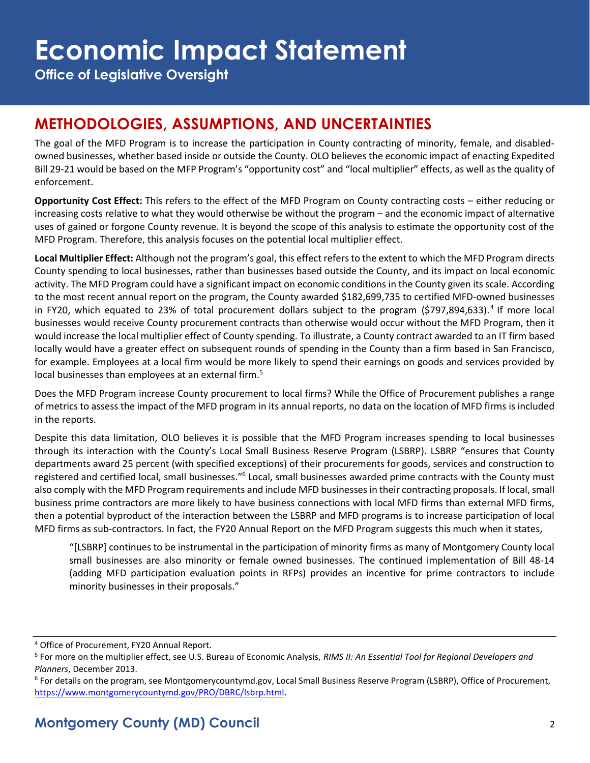**Office of Legislative Oversight**

# **METHODOLOGIES, ASSUMPTIONS, AND UNCERTAINTIES**

The goal of the MFD Program is to increase the participation in County contracting of minority, female, and disabledowned businesses, whether based inside or outside the County. OLO believes the economic impact of enacting Expedited Bill 29-21 would be based on the MFP Program's "opportunity cost" and "local multiplier" effects, as well as the quality of enforcement.

**Opportunity Cost Effect:** This refers to the effect of the MFD Program on County contracting costs – either reducing or increasing costs relative to what they would otherwise be without the program – and the economic impact of alternative uses of gained or forgone County revenue. It is beyond the scope of this analysis to estimate the opportunity cost of the MFD Program. Therefore, this analysis focuses on the potential local multiplier effect.

**Local Multiplier Effect:** Although not the program's goal, this effect refers to the extent to which the MFD Program directs County spending to local businesses, rather than businesses based outside the County, and its impact on local economic activity. The MFD Program could have a significant impact on economic conditions in the County given its scale. According to the most recent annual report on the program, the County awarded \$182,699,735 to certified MFD-owned businesses in FY20, which equated to 23% of total procurement dollars subject to the program (\$797,894,633).<sup>4</sup> If more local businesses would receive County procurement contracts than otherwise would occur without the MFD Program, then it would increase the local multiplier effect of County spending. To illustrate, a County contract awarded to an IT firm based locally would have a greater effect on subsequent rounds of spending in the County than a firm based in San Francisco, for example. Employees at a local firm would be more likely to spend their earnings on goods and services provided by local businesses than employees at an external firm.<sup>5</sup>

Does the MFD Program increase County procurement to local firms? While the Office of Procurement publishes a range of metrics to assess the impact of the MFD program in its annual reports, no data on the location of MFD firms is included in the reports.

Despite this data limitation, OLO believes it is possible that the MFD Program increases spending to local businesses through its interaction with the County's Local Small Business Reserve Program (LSBRP). LSBRP "ensures that County departments award 25 percent (with specified exceptions) of their procurements for goods, services and construction to registered and certified local, small businesses."<sup>6</sup> Local, small businesses awarded prime contracts with the County must also comply with the MFD Program requirements and include MFD businesses in their contracting proposals. If local, small business prime contractors are more likely to have business connections with local MFD firms than external MFD firms, then a potential byproduct of the interaction between the LSBRP and MFD programs is to increase participation of local MFD firms as sub-contractors. In fact, the FY20 Annual Report on the MFD Program suggests this much when it states,

"[LSBRP] continues to be instrumental in the participation of minority firms as many of Montgomery County local small businesses are also minority or female owned businesses. The continued implementation of Bill 48-14 (adding MFD participation evaluation points in RFPs) provides an incentive for prime contractors to include minority businesses in their proposals."

<sup>4</sup> Office of Procurement, FY20 Annual Report.

<sup>5</sup> For more on the multiplier effect, see U.S. Bureau of Economic Analysis, *RIMS II: An Essential Tool for Regional Developers and Planners*, December 2013.

<sup>6</sup> For details on the program, see Montgomerycountymd.gov, Local Small Business Reserve Program (LSBRP), Office of Procurement, [https://www.montgomerycountymd.gov/PRO/DBRC/lsbrp.html.](https://www.montgomerycountymd.gov/PRO/DBRC/lsbrp.html)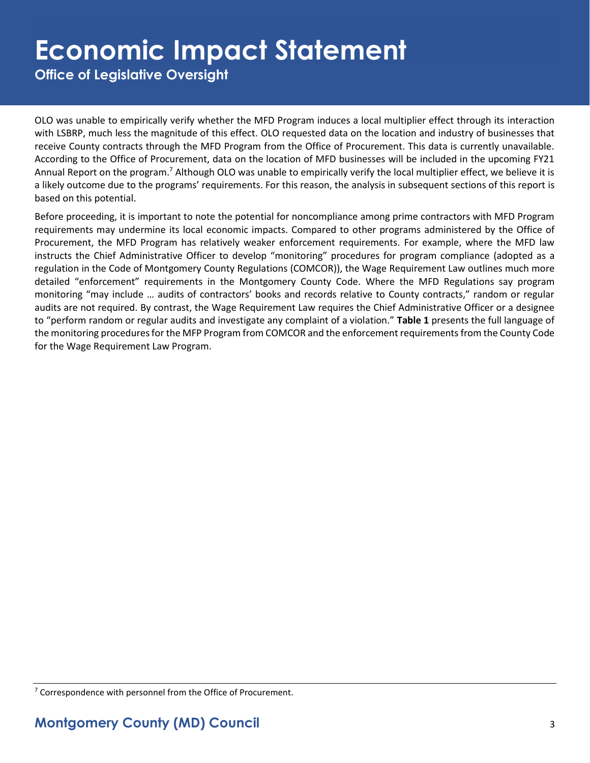# **Economic Impact Statement**

**Office of Legislative Oversight**

OLO was unable to empirically verify whether the MFD Program induces a local multiplier effect through its interaction with LSBRP, much less the magnitude of this effect. OLO requested data on the location and industry of businesses that receive County contracts through the MFD Program from the Office of Procurement. This data is currently unavailable. According to the Office of Procurement, data on the location of MFD businesses will be included in the upcoming FY21 Annual Report on the program.<sup>7</sup> Although OLO was unable to empirically verify the local multiplier effect, we believe it is a likely outcome due to the programs' requirements. For this reason, the analysis in subsequent sections of this report is based on this potential.

Before proceeding, it is important to note the potential for noncompliance among prime contractors with MFD Program requirements may undermine its local economic impacts. Compared to other programs administered by the Office of Procurement, the MFD Program has relatively weaker enforcement requirements. For example, where the MFD law instructs the Chief Administrative Officer to develop "monitoring" procedures for program compliance (adopted as a regulation in the Code of Montgomery County Regulations (COMCOR)), the Wage Requirement Law outlines much more detailed "enforcement" requirements in the Montgomery County Code. Where the MFD Regulations say program monitoring "may include … audits of contractors' books and records relative to County contracts," random or regular audits are not required. By contrast, the Wage Requirement Law requires the Chief Administrative Officer or a designee to "perform random or regular audits and investigate any complaint of a violation." **Table 1** presents the full language of the monitoring procedures for the MFP Program from COMCOR and the enforcement requirementsfrom the County Code for the Wage Requirement Law Program.

<sup>7</sup> Correspondence with personnel from the Office of Procurement.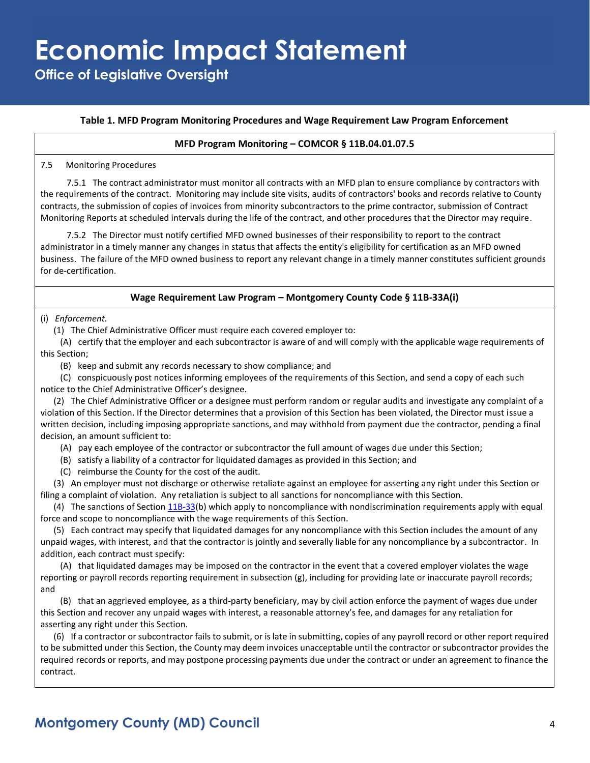**Office of Legislative Oversight**

#### **Table 1. MFD Program Monitoring Procedures and Wage Requirement Law Program Enforcement**

#### **MFD Program Monitoring – COMCOR § 11B.04.01.07.5**

7.5 Monitoring Procedures

7.5.1 The contract administrator must monitor all contracts with an MFD plan to ensure compliance by contractors with the requirements of the contract. Monitoring may include site visits, audits of contractors' books and records relative to County contracts, the submission of copies of invoices from minority subcontractors to the prime contractor, submission of Contract Monitoring Reports at scheduled intervals during the life of the contract, and other procedures that the Director may require.

7.5.2 The Director must notify certified MFD owned businesses of their responsibility to report to the contract administrator in a timely manner any changes in status that affects the entity's eligibility for certification as an MFD owned business. The failure of the MFD owned business to report any relevant change in a timely manner constitutes sufficient grounds for de-certification.

#### **Wage Requirement Law Program – Montgomery County Code § 11B-33A(i)**

(i) *Enforcement.*

(1) The Chief Administrative Officer must require each covered employer to:

(A) certify that the employer and each subcontractor is aware of and will comply with the applicable wage requirements of this Section;

(B) keep and submit any records necessary to show compliance; and

(C) conspicuously post notices informing employees of the requirements of this Section, and send a copy of each such notice to the Chief Administrative Officer's designee.

(2) The Chief Administrative Officer or a designee must perform random or regular audits and investigate any complaint of a violation of this Section. If the Director determines that a provision of this Section has been violated, the Director must issue a written decision, including imposing appropriate sanctions, and may withhold from payment due the contractor, pending a final decision, an amount sufficient to:

(A) pay each employee of the contractor or subcontractor the full amount of wages due under this Section;

- (B) satisfy a liability of a contractor for liquidated damages as provided in this Section; and
- (C) reimburse the County for the cost of the audit.

(3) An employer must not discharge or otherwise retaliate against an employee for asserting any right under this Section or filing a complaint of violation. Any retaliation is subject to all sanctions for noncompliance with this Section.

(4) The sanctions of Section  $11B-33(b)$  which apply to noncompliance with nondiscrimination requirements apply with equal force and scope to noncompliance with the wage requirements of this Section.

(5) Each contract may specify that liquidated damages for any noncompliance with this Section includes the amount of any unpaid wages, with interest, and that the contractor is jointly and severally liable for any noncompliance by a subcontractor. In addition, each contract must specify:

(A) that liquidated damages may be imposed on the contractor in the event that a covered employer violates the wage reporting or payroll records reporting requirement in subsection (g), including for providing late or inaccurate payroll records; and

(B) that an aggrieved employee, as a third-party beneficiary, may by civil action enforce the payment of wages due under this Section and recover any unpaid wages with interest, a reasonable attorney's fee, and damages for any retaliation for asserting any right under this Section.

(6) If a contractor or subcontractor fails to submit, or is late in submitting, copies of any payroll record or other report required to be submitted under this Section, the County may deem invoices unacceptable until the contractor or subcontractor provides the required records or reports, and may postpone processing payments due under the contract or under an agreement to finance the contract.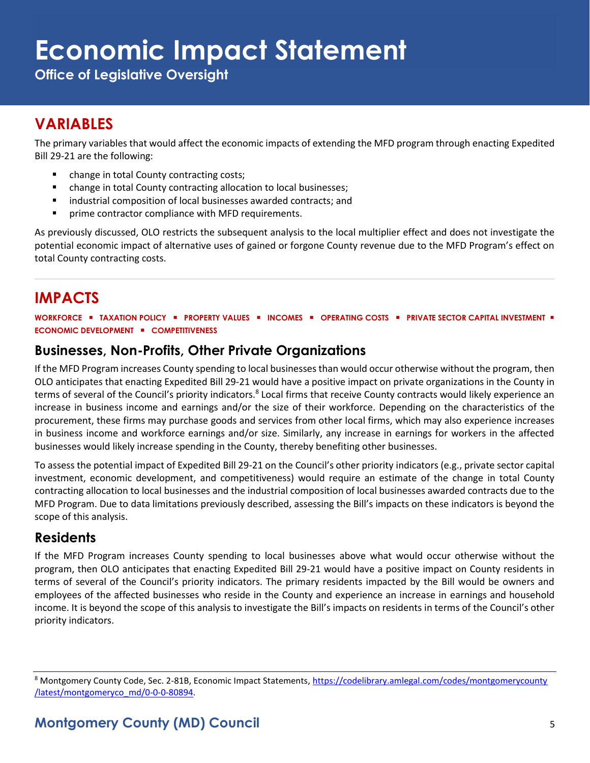# **Economic Impact Statement**

**Office of Legislative Oversight**

# **VARIABLES**

The primary variables that would affect the economic impacts of extending the MFD program through enacting Expedited Bill 29-21 are the following:

- change in total County contracting costs;
- change in total County contracting allocation to local businesses;
- industrial composition of local businesses awarded contracts; and
- prime contractor compliance with MFD requirements.

As previously discussed, OLO restricts the subsequent analysis to the local multiplier effect and does not investigate the potential economic impact of alternative uses of gained or forgone County revenue due to the MFD Program's effect on total County contracting costs.

# **IMPACTS**

**WORKFORCE** ▪ **TAXATION POLICY** ▪ **PROPERTY VALUES** ▪ **INCOMES** ▪ **OPERATING COSTS** ▪ **PRIVATE SECTOR CAPITAL INVESTMENT** ▪ **ECONOMIC DEVELOPMENT** ▪ **COMPETITIVENESS**

### **Businesses, Non-Profits, Other Private Organizations**

If the MFD Program increases County spending to local businesses than would occur otherwise without the program, then OLO anticipates that enacting Expedited Bill 29-21 would have a positive impact on private organizations in the County in terms of several of the Council's priority indicators.<sup>8</sup> Local firms that receive County contracts would likely experience an increase in business income and earnings and/or the size of their workforce. Depending on the characteristics of the procurement, these firms may purchase goods and services from other local firms, which may also experience increases in business income and workforce earnings and/or size. Similarly, any increase in earnings for workers in the affected businesses would likely increase spending in the County, thereby benefiting other businesses.

To assess the potential impact of Expedited Bill 29-21 on the Council's other priority indicators (e.g., private sector capital investment, economic development, and competitiveness) would require an estimate of the change in total County contracting allocation to local businesses and the industrial composition of local businesses awarded contracts due to the MFD Program. Due to data limitations previously described, assessing the Bill's impacts on these indicators is beyond the scope of this analysis.

### **Residents**

If the MFD Program increases County spending to local businesses above what would occur otherwise without the program, then OLO anticipates that enacting Expedited Bill 29-21 would have a positive impact on County residents in terms of several of the Council's priority indicators. The primary residents impacted by the Bill would be owners and employees of the affected businesses who reside in the County and experience an increase in earnings and household income. It is beyond the scope of this analysis to investigate the Bill's impacts on residents in terms of the Council's other priority indicators.

<sup>&</sup>lt;sup>8</sup> Montgomery County Code, Sec. 2-81B, Economic Impact Statements[, https://codelibrary.amlegal.com/codes/montgomerycounty](https://codelibrary.amlegal.com/codes/montgomerycounty/latest/montgomeryco_md/0-0-0-80894) [/latest/montgomeryco\\_md/0-0-0-80894.](https://codelibrary.amlegal.com/codes/montgomerycounty/latest/montgomeryco_md/0-0-0-80894)